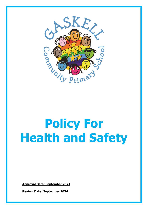

# **Policy For Health and Safety**

**Approval Date: September 2021**

**Review Date: September 2024**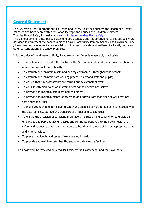# **General Statement**

The Governing Body in producing this Health and Safety Policy has adopted the Health and Safety polices which have been written by Bolton Metropolitan Council and Children's Services. The Health and Safety Manual is at [www.boltonlea.org.uk/healthandsafety](http://www.boltonlea.org.uk/healthandsafety)

The general aims of these policy statements are accepted and the arrangements set out below are designed to implement the general aims of Gaskell Community Primary School. The Governing Body / Head teacher recognises its responsibility to the health, safety and welfare of all staff, pupils and other persons visiting the school premises.

It is the policy of the Governing Body/ Headteacher, so far as is reasonably practicable:

- To maintain all areas under the control of the Governors and Headteacher in a condition that is safe and without risk to health ;
- To establish and maintain a safe and healthy environment throughout the school;
- To establish and maintain safe working procedures among staff and pupils;
- To ensure that risk assessments are carried out by competent staff;
- To consult with employees on matters affecting their health and safety;
- To provide and maintain safe plant and equipment;
- To provide and maintain means of access to and egress from that place of work that are safe and without risk;
- To make arrangements for ensuring safety and absence of risks to health in connection with the use, handling, storage and transport of articles and substances;
- To ensure the provision of sufficient information, instruction and supervision to enable all employees and pupils to avoid hazards and contribute positively to their own health and safety and to ensure that they have access to health and safety training as appropriate or as and when provided;
- To prevent accidents and cases of work related ill health;
- To provide and maintain safe, healthy and adequate welfare facilities;

This policy will be reviewed on a regular basis, by the Headteacher and the Governors.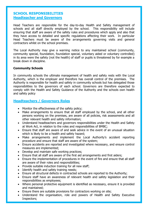# **SCHOOL RESPONSIBILITIES Headteacher and Governors**

Head Teachers are responsible for the day-to-day Health and Safety management of schools and all staff directly employed by the school. This responsibility will include ensuring that staff are aware of the safety rules and procedures which apply and also that they have access to detailed and specific regulations affecting their work. In particular Head Teachers must be aware of the arrangements governing visits and general contractors whilst on the school premises.

The Local Authority may give a warning notice to any maintained school (community, community special, foundation, foundation special, voluntary aided or voluntary controlled) in its area were the safety (not the health) of staff or pupils is threatened by for example a break down in discipline.

### **Community Schools**

In community schools the ultimate management of health and safety rests with the Local Authority, which is the employer and therefore has overall control of the premises. The Authority is responsible for health and safety in community schools but has delegated those responsibilities to the governors of each school. Governors are therefore expected to comply with the Health and Safety Guidance of the Authority and the schools own health and safety policy

# **Headteachers / Governors Roles**

- Monitor the effectiveness of the safety policy;
- Make arrangements to ensure that all staff employed by the school, and all other persons working on the premises, are aware of all policies, risk assessments and all other relevant health and safety information;
- Understand headteachers and governors responsibilities under the Health and Safety at Work Act, in relation to the roles and responsibilities of BMBC;
- Ensure that staff are aware of and seek advice in the event of an unusual situation which is likely to be a health and safety hazard;
- Make arrangements and implement the Local Authority's accident reporting procedure and ensure that staff are aware of the system;
- Ensure accidents are reported and investigated where necessary, and ensure control measures are implemented;
- Develop and maintain safe working practices;
- Ensure that all staff are aware of the first aid arrangements and first aiders;
- Ensure the implementation of procedures in the event of fire and ensure that all staff are aware of their roles and responsibilities;
- Provide suitable induction training for all new staff;
- Identify health and safety training needs;
- Ensure all structural defects in contracted schools are reported to the Authority;
- Ensure staff have an awareness of relevant health and safety legislation and their responsibilities as employees;
- Where personal protective equipment is identified as necessary, ensure it is provided and maintained;
- Ensure there are suitable provisions for contractors working on site;
- Understand the organisation, role and powers of Health and Safety Executive Inspectors;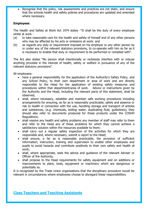Recognise that the policy, risk assessments and practices are not static, and ensure that the schools health and safety policies and procedures are updated and amended where necessary.

## **Employees**

The Health and Safety at Work Act 1974 states -"It shall be the duty of every employee whilst at work -

- (a) to take reasonable care for the health and safety of himself and of any other persons who may be affected by his acts or omissions at work: and
- (b) as regards any duty or requirement imposed on his employer or any other person by or under any of the relevant statutory provisions, to co-operate with him so far as it is necessary to enable that duty or requirement to be performed or complied with".

The Act also states "No person shall intentionally or recklessly interfere with or misuse anything provided in the interest of health, safety or welfare in pursuance of any of the relevant statutory provisions".

All employees:

- have a general responsibility for the application of the Authority's Safety Policy, and any School Policy, to their own department or area of work and are directly responsible to the Head for the application of existing safety measures and procedures within that department/area of work. Advice or instructions given by the Authority and the Head, including the relevant parts of this statement, shall be observed;
- shall, where necessary, establish and maintain safe working procedures including arrangements for ensuring, as far as is reasonably practicable, safety and absence or risk to health in connection with the use, handling storage and transport of articles and substances, (e.g. chemicals, boiling water, duplicating fluid, guillotines); they should also refer to documents produced for these products under the COSHH Regulations;
- shall resolve any health and safety problems any member of staff may refer to them and refer to the Head any of these problems for which they cannot achieve a satisfactory solution within the resources available to them;
- shall carry out a regular safety inspection of the activities for which they are responsible and, where necessary, submit a report to the Head;
- shall ensure, a far as is reasonably practicable, the provision of sufficient information, instruction, training and supervision to enable other employees and pupils to avoid hazards and contribute positively to their own safety and health at work;
- shall, where appropriate, seek the advice and guidance of the relevant Adviser or Officer of the Authority;
- shall propose to the Head requirements for safety equipment and on additions or improvements to plant, tools, equipment or machinery which are dangerous or potentially so.

It is recognised by the Trade Union organisations that the disciplinary procedure would be relevant in circumstances where employees choose to disregard these responsibilities.

# **Class Teachers and Teaching Assistants**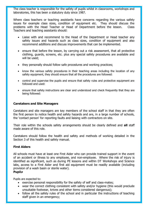The class teacher is responsible for the safety of pupils whilst in classrooms, workshops and laboratories, this has been a statutory duty since 1987.

Where class teachers or teaching assistants have concerns regarding the various safety issues for example class sizes, condition of equipment etc. They should discuss the problems with the Head Teacher or Head of Department before the lesson. Class Teachers and teaching assistants should:

- Liaise with and recommend to the Head of the Department or Head teacher any safety issues and hazards such as class sizes, condition of equipment and also recommend additions and discuss improvements that can be implemented.
- ensure that before the lesson, by carrying out a risk assessment, that all protective clothing, guards, screens, etc. plus any special safety procedures are available and will be used;
- they personally should follow safe procedures and working practices;
- know the various safety procedures in their teaching areas including the location of any safety equipment, they should ensure that all the procedures are followed:
- control and supervise the pupils and ensure that safety rules and protective equipment are followed and used:
- ensure that safety instructions are clear and understood and check frequently that they are being followed:

#### **Caretakers and Site Managers**

Caretakers and site managers are key members of the school staff in that they are often the first person to notice health and safety hazards and are, in a large number of schools, the 'contact person' for reporting faults and liaising with contractors on site.

Their role within the schools safety arrangements should be clearly defined and **all** staff made aware of this role.

Caretakers should follow the health and safety and methods of working detailed in the Section 3 of this health and safety manual.

#### **First Aiders**

All schools must have at least one First Aider who can provide trained support in the event of an accident or illness to any employee, and non-employee. Where the risk of injury is identified as significant, such as during PE lessons and within DT Workshops and Science labs, access to a First Aider and first aid equipment must be readily available (including provision of a wash basin or sterile water).

## **Pupil<sup>s</sup>**

Pupils are expected to:

- exercise personal responsibility for the safety of self and class-mates;
- wear the correct clothing consistent with safety and/or hygiene (this would preclude unsuitable footwear, knives and other items considered dangerous);
- follow all the safety rules of the school and in particular the instructions of teaching staff given in an emergency;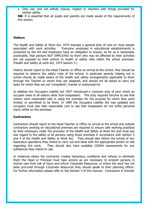• Only use, and not wilfully misuse, neglect or interfere with things provided for his/her safety.

**NB:** It is essential that all pupils and parents are made aware of the requirements of this section.

## **Visitors**

The Health and Safety at Work Act, 1974 imposes a general duty of care on most people associated with work activities. Everyone employed in educational establishments is protected by the Act and employers have an obligation to ensure, as far as is reasonably practicable, that persons NOT EMPLOYED by them who may be affected by their activities are not exposed by their actions to health or safety risks within the school premises. (Health and Safety at work Act, 1974 Section 3.)

Visitors should report to the Head Teacher or Office on arrival at the school, they should be required to observe the safety rules of the school, in particular parents helping out in school should be made aware of the health and safety arrangements applicable to them through the Teacher to whom they are assigned, and should not be asked to carry out tasks for which they are not 'competent', trained or authorised for.

In addition the 'Occupiers Liability Act 1957' introduced a 'common duty of care' which an occupier owes to all visitors other than trespassers. This duty required him/her to see that visitors were reasonably safe in using the premises for the purpose for which they were invited, or permitted to be there. In 1984 the Occupiers Liability Act was updated and occupiers must also take reasonable care to see that trespassers do not suffer personal injury whilst on the premises.

## **Contractors**

Contractors should report to the Head Teacher or Office on arrival at the school and outside contractors working on educational premises are required to ensure safe working practices by their employers under the provision of the Health and Safety at Work Act and must pay due regard to the safety of all persons using those premises in accordance with Section 3 and 4 of the Health and Safety at Work Act. They should also inform the school of any hazardous operations they intend to carry out and liaise with the appropriate person on site regarding this work. They should also have available COSHH assessments for any substances they intend to use.

In instances where the contractor creates hazardous conditions and refuses to eliminate them the Head or Principal must take actions as are necessary to prevent persons in his/her care from risk of injury and inform Corporate Resources, or where the work has not been procured through Corporate Resources they should speak to their planning officer. For further information please refer to See Section 3 of this manual - Contractors in Schools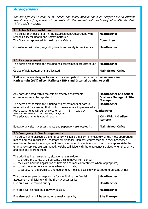# **Arrangements**

The arrangements section of the health and safety manual has been designed for educational establishments / departments to complete with the relevant health and safety information for staff, visitors and contractors.

| <b>3.1 Roles &amp; Responsibilities</b>                                                                                                                                                                                                                                                                                                                                                                                       |                                                                     |
|-------------------------------------------------------------------------------------------------------------------------------------------------------------------------------------------------------------------------------------------------------------------------------------------------------------------------------------------------------------------------------------------------------------------------------|---------------------------------------------------------------------|
| The Senior member of staff in the establishment/department with                                                                                                                                                                                                                                                                                                                                                               | <b>Headteacher</b>                                                  |
| responsibility for Health and Safety matters is:                                                                                                                                                                                                                                                                                                                                                                              |                                                                     |
| The Governor appointed for health and safety is:                                                                                                                                                                                                                                                                                                                                                                              | <b>Committee</b>                                                    |
| Consultation with staff, regarding health and safety is provided via:                                                                                                                                                                                                                                                                                                                                                         | <b>Headteacher</b>                                                  |
| <b>3.2 Risk assessment</b>                                                                                                                                                                                                                                                                                                                                                                                                    |                                                                     |
| The person responsible for ensuring risk assessments are carried out<br>is:                                                                                                                                                                                                                                                                                                                                                   | <b>Headteacher</b>                                                  |
| Copies of risk assessments are located :                                                                                                                                                                                                                                                                                                                                                                                      | <b>Main School Office</b>                                           |
| Staff who have undergone training and are competent to carry out risk assessments are:<br>Kath Wright (SLT) Alison Rafferty (SBM) and Internal training to staff                                                                                                                                                                                                                                                              |                                                                     |
| Any hazards noted within the establishment/ departmental<br>environment must be reported to:                                                                                                                                                                                                                                                                                                                                  | <b>Headteacher and School</b><br><b>Business Manager &amp; Site</b> |
|                                                                                                                                                                                                                                                                                                                                                                                                                               | <b>Manager</b>                                                      |
| The person responsible for initiating risk assessments of hazard<br>reported and for ensuring that control measures are implemented is:                                                                                                                                                                                                                                                                                       | <b>Headteacher</b>                                                  |
| Risk assessments will be reviewed on a 3 basis by<br>(NB this should be carried out at LEAST every $2 - 3$ years)                                                                                                                                                                                                                                                                                                             | Headteacher _______                                                 |
| The educational visits co-ordinator is:                                                                                                                                                                                                                                                                                                                                                                                       | <b>Kath Wright &amp; Alison</b><br><b>Rafferty</b>                  |
| Educational visits risk assessments and paperwork are located in:                                                                                                                                                                                                                                                                                                                                                             | <b>Main School Office</b>                                           |
| 3.3 Emergency & Fire Arrangements                                                                                                                                                                                                                                                                                                                                                                                             |                                                                     |
| The person who discovers the emergency will raise the alarm immediately by the most appropriate<br>means and ensure that the Headteacher/ Manager, Deputy Headteacher or in their absence, a<br>member of the senior management team is informed immediately and that where appropriate the<br>emergency services are summoned. He/she will liaise with the emergency services when they arrive<br>and take advice from them. |                                                                     |
| The priorities in an emergency situation are as follows:<br>to ensure the safety of all persons, their removal from danger,<br>their care and the application of first aid and medical treatment where appropriate;<br>$\bullet$<br>to call the emergency services when appropriate;<br>٠<br>to safeguard the premises and equipment, if this is possible without putting persons at risk.<br>$\bullet$                       |                                                                     |

| The competent person responsible for monitoring the fire risk<br>assessment and liaising with the fire risk assessor is: | <b>Headteacher</b>  |
|--------------------------------------------------------------------------------------------------------------------------|---------------------|
| Fire drills will be carried out by:                                                                                      | <b>Headteacher</b>  |
| Fire drills will be held on a <b>termly</b> basis by:                                                                    | <b>Headteacher</b>  |
| Fire alarm points will be tested on a weekly basis by:                                                                   | <b>Site Manager</b> |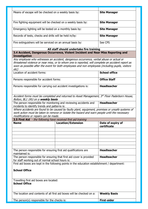| Means of escape will be checked on a weekly basis by:         | <b>Site Manager</b> |
|---------------------------------------------------------------|---------------------|
| Fire fighting equipment will be checked on a weekly basis by: | <b>Site Manager</b> |
| Emergency lighting will be tested on a monthly basis by:      | <b>Site Manager</b> |
| Records of tests, checks and drills will be held in/by:       | <b>Site Manager</b> |
| Fire extinguishers will be serviced on an annual basis by:    | See CPS             |

#### **All staff should undertake fire training**

**3.4 Accident, Dangerous Occurrence, Violent Incident and Near Miss Reporting and Investigation** 

Any employee who witnesses an accident, dangerous occurrence, verbal abuse or actual or threatened violence or near miss, or to whom one is reported, will complete an accident report as soon as possible after the event for both employees and non employees (including pupils, visitors etc)

| Location of accident forms:                                      | <b>School office</b> |
|------------------------------------------------------------------|----------------------|
| Persons responsible for accident forms:                          | <b>Office Staff</b>  |
| Persons responsible for carrying out accident investigations is: | <b>Headteacher</b>   |

Accident forms must be completed and returned to Asset Management, 3rd Floor Paderborn House, Bolton, BL1 1RU on a **weekly basis**

The person responsible for monitoring and reviewing accidents and incidents to identify trends and patterns is: **Headteacher**

Where accidents are found to be caused by faulty plant, equipment, premises or unsafe systems of work action must be taken to remove or isolate the hazard and warn people until the necessary modifications or repairs can be made.

**3.5 First Aid** - the following have received first aid training

|                                                                      | <u>are renorming nare received mot and administ</u> |                                  |
|----------------------------------------------------------------------|-----------------------------------------------------|----------------------------------|
| <b>Name</b>                                                          | <b>Location/Extension</b>                           | Date of expiry of<br>certificate |
|                                                                      |                                                     |                                  |
|                                                                      |                                                     |                                  |
|                                                                      |                                                     |                                  |
|                                                                      |                                                     |                                  |
|                                                                      |                                                     |                                  |
|                                                                      |                                                     |                                  |
| The person responsible for ensuring first aid qualifications are     |                                                     | <b>Headteacher</b>               |
| maintained is:                                                       |                                                     |                                  |
| The person responsible for ensuring that first aid cover is provided |                                                     | <b>Headteacher</b>               |

for staff working out of normal school hours is:

First aid boxes are kept in the following points in the education establishment / department:

#### **School Office**

Travelling first aid boxes are located: **School Office**

| The location and contents of all first aid boxes will be checked on a: | <b>Weekly Basis</b> |
|------------------------------------------------------------------------|---------------------|
| The person(s) responsible for the checks is:                           | <b>First-aider</b>  |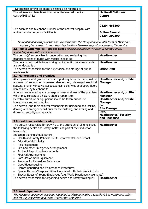| - Deficiencies of first aid materials should be reported to                                           |                                |
|-------------------------------------------------------------------------------------------------------|--------------------------------|
| The address and telephone number of the nearest medical                                               | <b>Halliwell Childrens</b>     |
| centre/NHS GP is:                                                                                     | <b>Centre</b>                  |
|                                                                                                       |                                |
|                                                                                                       |                                |
|                                                                                                       | 01204 463500                   |
| The address and telephone number of the nearest hospital with                                         |                                |
| accident and emergency facilities is:                                                                 | <b>Bolton General</b>          |
|                                                                                                       | 01204 390390                   |
|                                                                                                       |                                |
| Occupational health provisions are available from the Occupational Health team at Paderborn           |                                |
| House, please speak to your head teacher/Line Manager regarding accessing this service.               |                                |
| 3.6 Pupils with medical/ special needs (please see Section 4 Health & Safety Manual -                 |                                |
| supporting pupils with medical needs)                                                                 |                                |
| The person(s) responsible for undertaking and reviewing the                                           | <b>Headteacher</b>             |
| healthcare plans of pupils with medical needs is:                                                     |                                |
| The person responsible for ensuring pupil specific risk assessments                                   | <b>Headteacher</b>             |
| are conducted is :                                                                                    |                                |
| The person responsible for the supervision and storage of pupils                                      | <b>Office Staff</b>            |
| medicines is:                                                                                         |                                |
| 3.7 Maintenance and premises                                                                          |                                |
| All employees and governors must report any hazards that could be                                     | <b>Headteacher and/or Site</b> |
| a cause of serious or imminent danger, e.g. damaged electrical                                        | <b>Manager</b>                 |
| sockets, broken windows, suspected gas leaks, wet or slippery floors                                  |                                |
| immediately, by telephone to:                                                                         |                                |
| A person encountering any damage or wear and tear of the premises                                     | <b>Headteacher and/or Site</b> |
| which may constitute a hazard should report it to:                                                    | <b>Manager</b>                 |
|                                                                                                       |                                |
| Defective furniture or equipment should be taken out of use                                           | <b>Headteacher and/or Site</b> |
| immediately and reported to:                                                                          | <b>Manager</b><br><b>First</b> |
| The person (and their deputy) responsible for unlocking and locking,                                  | <b>Site Manager</b>            |
| dealing with emergency call outs for the building, and arming and                                     | Deputy                         |
| disarming security alarms etc is:                                                                     | <b>Headteacher/ Security</b>   |
|                                                                                                       | and Response                   |
| 3.8 Health and safety training                                                                        |                                |
| The person responsible for drawing to the attention of all employees                                  | <b>Headteacher</b>             |
| the following health and safety matters as part of their induction                                    |                                |
| training is:                                                                                          |                                |
| Induction training should cover:                                                                      |                                |
| Health and Safety Policies: BMBC Departmental, and School.                                            |                                |
| <b>Education Visits Policy</b>                                                                        |                                |
| ٠<br><b>Risk Assessment</b>                                                                           |                                |
|                                                                                                       |                                |
| Fire and other Emergency Arrangements                                                                 |                                |
| <b>Accident Reporting Arrangements</b><br>٠                                                           |                                |
| First Aid Arrangements<br>٠                                                                           |                                |
| Safe Use of Work Equipment<br>٠                                                                       |                                |
| Procures for Hazardous Substances                                                                     |                                |
| Good Housekeeping<br>٠                                                                                |                                |
| Hazard Reporting and Maintenance Procedures<br>٠                                                      |                                |
| Special Hazards/Responsibilities Associated with their Work Activity                                  |                                |
| Special Needs of Young Employees (e.g. Work Experience Placements)                                    |                                |
| The person responsible for organising health and safety training is:                                  | <b>Headteacher</b>             |
|                                                                                                       |                                |
|                                                                                                       |                                |
|                                                                                                       |                                |
| <b>3.9 Work Equipment</b>                                                                             |                                |
| The following equipment has been identified as likely to involve a specific risk to health and safety |                                |
| and its use, inspection and repair is therefore restricted.                                           |                                |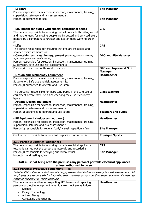| - Ladders                                                                                             | <b>Site Manager</b>          |
|-------------------------------------------------------------------------------------------------------|------------------------------|
| Person responsible for selection, inspection, maintenance, training,                                  |                              |
| supervision, safe use and risk assessment is :                                                        |                              |
| Person(s) authorised to use:                                                                          | <b>Site Manager</b>          |
|                                                                                                       |                              |
|                                                                                                       |                              |
| - Equipment for pupils with special educational needs                                                 | <b>CPS</b>                   |
| The person responsible for ensuring that all hoists, both ceiling mount                               |                              |
| and mobile, used for moving people are inspected and serviced every                                   |                              |
| months by a competent contractor and kept in good working order                                       |                              |
| is:                                                                                                   |                              |
| - Lifts                                                                                               | <b>CPS</b>                   |
| The person responsible for ensuring that lifts are inspected and                                      |                              |
| serviced every six months is:                                                                         |                              |
| - Caretaking and cleaning equipment (including powered cleaning                                       | <b>DLO and Site Manager</b>  |
| equipment, power and hand tools etc)                                                                  |                              |
| Person responsible for selection, inspection, maintenance, training,                                  |                              |
| Supervision, safe use and risk assessment is:                                                         |                              |
| Person(s) trained and authorised to use are:                                                          | <b>DLO employeesand Site</b> |
|                                                                                                       | <b>Manager</b>               |
| - Design and Technology Equipment                                                                     | <b>Headteacher</b>           |
| Person responsible for selection, inspection, maintenance, training,                                  |                              |
| Supervision. Safe use and risk assessment is:                                                         |                              |
| Person(s) authorised to operate and use is/are:                                                       |                              |
|                                                                                                       |                              |
| The person(s) responsible for instructing pupils in the safe use of                                   | <b>Class teachers</b>        |
| equipment before they use it and checking they use it correctly                                       |                              |
| is/are:                                                                                               |                              |
| - Art and Design Equipment                                                                            | <b>Headteacher</b>           |
| Person responsible for selection, inspection, maintenance, training,                                  |                              |
| supervision, safe use and risk assessment is:                                                         |                              |
| Person(s) authorised to operate and use is/are:                                                       | <b>Teachers and pupils</b>   |
|                                                                                                       |                              |
| - PE Equipment (indoor and outdoor)                                                                   | <b>Headteacher</b>           |
| Person responsible for selection, inspection, maintenance, training,                                  |                              |
| supervision, safe use and risk assessment is:                                                         |                              |
| Person(s) responsible for regular (daily) visual inspection is/are:                                   | <b>Site Manager</b>          |
|                                                                                                       |                              |
| Contractor responsible for annual full inspection and report is:                                      | <b>Physique Sports</b>       |
|                                                                                                       |                              |
| <b>3.10 Portable Electrical Appliances</b>                                                            |                              |
| The person responsible for ensuring portable electrical appliance                                     | <b>CPS</b>                   |
| testing is carried out at appropriate intervals and recorded is:                                      |                              |
| Person(s) responsible for carrying out formal visual                                                  | <b>Site Manager</b>          |
| inspection and testing is/are:                                                                        |                              |
| Staff must not bring onto the premises any personal portable electrical appliances                    |                              |
| unless authorised to do so                                                                            |                              |
| 3.11 Personal Protective Equipment (PPE)                                                              |                              |
| Suitable PPE will be provided free of charge, where identified as necessary in a risk assessment. All |                              |
| employees are responsible for informing their manager as soon as they become aware of a need to       |                              |
| repair or replace PPE, which they use.                                                                |                              |
| The persons responsible for inspecting PPE termly and replacing:                                      | <b>Headteacher</b>           |
| personal protective equipment when it is worn out are as follows                                      |                              |
| Science                                                                                               |                              |
| Design Technology                                                                                     |                              |
| Art and Design                                                                                        |                              |
| Caretaking and cleaning                                                                               |                              |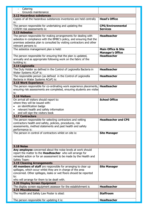| Catering                                                                                                                                                                                                                                                   |                                                          |
|------------------------------------------------------------------------------------------------------------------------------------------------------------------------------------------------------------------------------------------------------------|----------------------------------------------------------|
| Grounds maintenance                                                                                                                                                                                                                                        |                                                          |
| 3.12 Hazardous substances                                                                                                                                                                                                                                  |                                                          |
| Copies of all the hazardous substances inventories are held centrally<br>in:                                                                                                                                                                               | <b>Head's Office</b>                                     |
| The person responsible for undertaking and updating the<br>COSHH risk assessments is:                                                                                                                                                                      | <b>CPS/Environmental</b><br><b>Services</b>              |
| 3.13 Asbestos                                                                                                                                                                                                                                              |                                                          |
| The person responsible for making arrangements for dealing with<br>asbestos in compliance with the BMBC's policy, and ensuring that the<br>premises asbestos plan is consulted by visiting contractors and other<br>relevant persons is:                   | <b>Headteacher</b>                                       |
| The asbestos management plan is held:                                                                                                                                                                                                                      | <b>Main Office &amp; Site</b><br><b>Manager's Office</b> |
| The person responsible for ensuring that the plan is updated,<br>annually and as appropriate following work on the fabric of the<br>building is:                                                                                                           | <b>Headteacher</b>                                       |
| 3.14 Legionella                                                                                                                                                                                                                                            |                                                          |
| The Duty Holder as defined in the Control of Legionella Bacteria in<br>Water Systems ACoP is:                                                                                                                                                              | <b>Headteacher</b>                                       |
| The responsible person (as defined in the Control of Legionella<br>Bacteria in Water Systems ACoP) is:                                                                                                                                                     | <b>Headteacher</b>                                       |
| <b>3.15 Work Experience</b>                                                                                                                                                                                                                                |                                                          |
| The person responsible for co-ordinating work experience placements, Headteacher<br>ensuring risk assessments are completed, ensuring students are visited<br>is:                                                                                          |                                                          |
| 3.16 Visitors                                                                                                                                                                                                                                              |                                                          |
| On arrival all visitors should report to:<br>where they will be issued with:<br>an identification badge<br>$\bullet$<br>relevant health and safety information<br>$\bullet$<br>and will sign the visitors book                                             | <b>School Office</b>                                     |
| <b>3.17 Contractors</b>                                                                                                                                                                                                                                    |                                                          |
| The person responsible for selecting contractors and vetting<br>contractors health and safety, policies, procedures, risk<br>assessments, method statements and past health and safety<br>performance is:                                                  | <b>Headteacher and CPS</b>                               |
| The person in control of contractors whilst on site is:                                                                                                                                                                                                    | <b>Site Manager</b>                                      |
| <b>3.18 Noise</b>                                                                                                                                                                                                                                          |                                                          |
| Any employee concerned about the noise levels at work should<br>report the matter to the Headteacher who will arrange for<br>remedial action or for an assessment to be made by the Health and<br>Safety Team:                                             |                                                          |
| <b>3.19 Cleaning Arrangements</b>                                                                                                                                                                                                                          |                                                          |
| All members of staff are responsible for arranging to clear up<br>spillages, which occur whilst they are in charge of the area<br>concerned. Other spillages, leaks or wet floors should be reported<br>to:<br>who will arrange for them to be dealt with. | <b>Site Manager</b>                                      |
| 3.20 Display Screen Equipment                                                                                                                                                                                                                              |                                                          |
| The display screen equipment assessor for the establishment is                                                                                                                                                                                             | <b>Headteacher</b>                                       |
| <b>3.21 Miscellaneous</b><br>The Health and Safety Law Poster is sited:                                                                                                                                                                                    | <b>Staffroom</b>                                         |
| The person responsible for updating it is:                                                                                                                                                                                                                 | <b>Headteacher</b>                                       |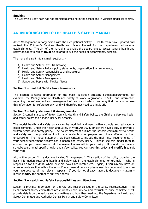#### **Smoking**

The Governing Body has/ has not prohibited smoking in the school and in vehicles under its control.

## **AN INTRODUCTION TO THE HEALTH & SAFETY MANUAL**

Asset Management in conjunction with the Occupational Safety & Health team have updated and revised the Children's Services Health and Safety Manual for the department educational establishments. The aim of the manual is to enable the department to access generic health and safety documents, which **must** be tailored to suit the needs of departments/ schools.

The manual is split into six main sections: -

- 1) Health and Safety Law framework;
- 2) Health and Safety Policy policy statements, organisation & arrangements;
- 3) Health and Safety responsibilities and structure;
- 4) Health and Safety Management
- 5) Health and Safety Arrangements
- 6) Supporting Pupils with Medical Needs

#### **Section 1 – Health & Safety Law - framework**

This section contains information on the main legislation affecting schools/departments, for example, the Management of Health and Safety at Work Regulations, COSHH, and information regarding the enforcement and management of health and safety. You may find that you can use this information for reference only, and will therefore not need to print it off.

#### **Section 2 – Policy statement & Arrangements**

Section 2 contains a copy of Bolton Councils Health and Safety Policy, the Children's Services health and safety policy and a model policy for schools.

The model health and safety policy can be modified and used within schools and educational establishments. Under the Health and Safety at Work Act 1974, Employers have a duty to provide a written health and safety policy. The policy statement outlines the schools commitment to health and safety and the provisions it will make available to employees and others affected by their undertaking. The model statement has been written to include the main legal requirements. If your school/department already has a health and safety policy – please use this model form to ensure that you have covered all the relevant areas within your policy. If you do not have a school/departmental specific health and safety policy, you can take this policy and **modify it** to suit your work.

Also within section 2 is a document called 'Arrangements'. This section of the policy provides the basic information regarding health and safety within the establishment, for example – who is responsible for fire drills, where first aid boxes are located etc. Again, if you already have an arrangements section within the school/departmental policy – please use this document to ensure you have covered all the relevant aspects. If you do not already have this document  $-$  again  $$ please **modify** the content to suit your needs.

#### **Section 3 – Health and Safety Responsibilities and Structure**

Section 3 provides information on the role and responsibilities of the safety representative. The Departmental safety committees are currently under review and restructure, once complete it will provide details on the various sub committees and how they feed into the Departmental Health and Safety Committee and Authority Central Health and Safety Committee.